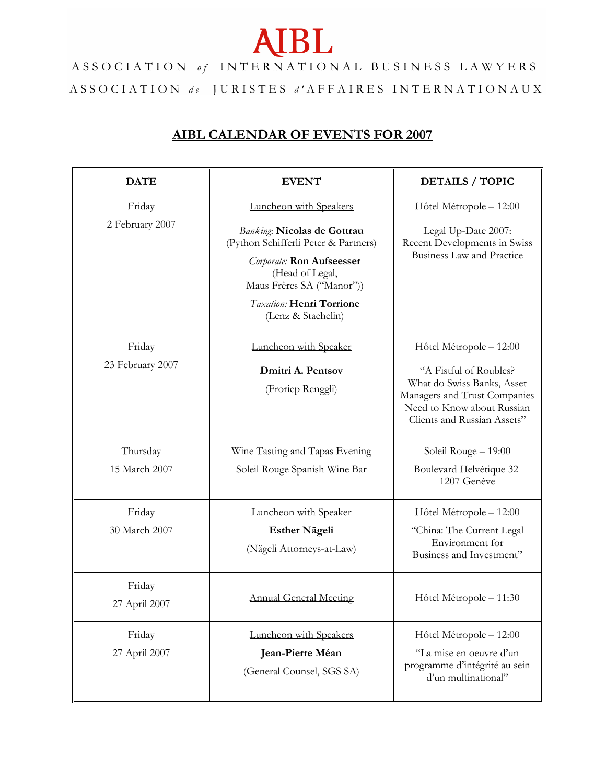## **AIBL**

ASSOCIATION of INTERNATIONAL BUSINESS LAWYERS ASSOCIATION de JURISTES d'AFFAIRES INTERNATIONAUX

## **AIBL CALENDAR OF EVENTS FOR 2007**

| <b>DATE</b>                | <b>EVENT</b>                                                                                                                                                                                                                               | <b>DETAILS / TOPIC</b>                                                                                                                                                       |
|----------------------------|--------------------------------------------------------------------------------------------------------------------------------------------------------------------------------------------------------------------------------------------|------------------------------------------------------------------------------------------------------------------------------------------------------------------------------|
| Friday<br>2 February 2007  | Luncheon with Speakers<br><b>Banking: Nicolas de Gottrau</b><br>(Python Schifferli Peter & Partners)<br><b>Corporate: Ron Aufseesser</b><br>(Head of Legal,<br>Maus Frères SA ("Manor"))<br>Taxation: Henri Torrione<br>(Lenz & Staehelin) | Hôtel Métropole - 12:00<br>Legal Up-Date 2007:<br>Recent Developments in Swiss<br>Business Law and Practice                                                                  |
| Friday<br>23 February 2007 | Luncheon with Speaker<br>Dmitri A. Pentsov<br>(Froriep Renggli)                                                                                                                                                                            | Hôtel Métropole - 12:00<br>"A Fistful of Roubles?<br>What do Swiss Banks, Asset<br>Managers and Trust Companies<br>Need to Know about Russian<br>Clients and Russian Assets" |
| Thursday<br>15 March 2007  | Wine Tasting and Tapas Evening<br>Soleil Rouge Spanish Wine Bar                                                                                                                                                                            | Soleil Rouge - 19:00<br>Boulevard Helvétique 32<br>1207 Genève                                                                                                               |
| Friday<br>30 March 2007    | Luncheon with Speaker<br><b>Esther Nägeli</b><br>(Nägeli Attorneys-at-Law)                                                                                                                                                                 | Hôtel Métropole - 12:00<br>"China: The Current Legal<br>Environment for<br>Business and Investment"                                                                          |
| Friday<br>27 April 2007    | <b>Annual General Meeting</b>                                                                                                                                                                                                              | Hôtel Métropole - 11:30                                                                                                                                                      |
| Friday<br>27 April 2007    | Luncheon with Speakers<br>Jean-Pierre Méan<br>(General Counsel, SGS SA)                                                                                                                                                                    | Hôtel Métropole - 12:00<br>"La mise en oeuvre d'un<br>programme d'intégrité au sein<br>d'un multinational"                                                                   |